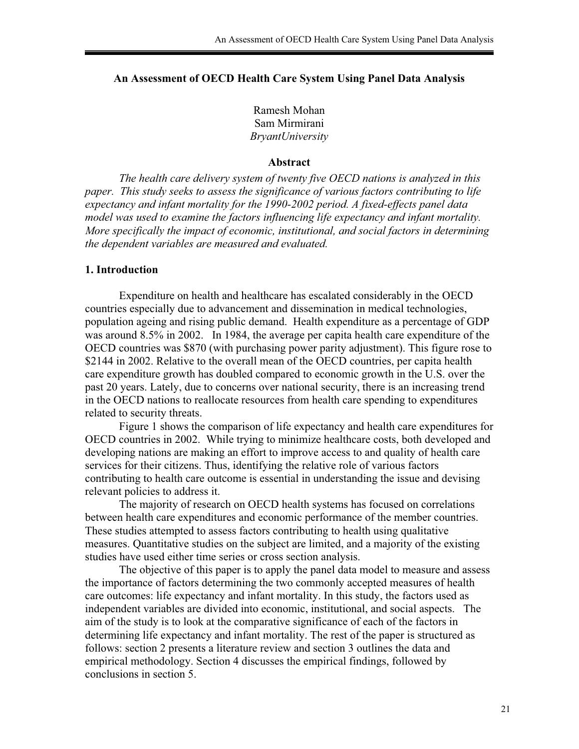# **An Assessment of OECD Health Care System Using Panel Data Analysis**

Ramesh Mohan Sam Mirmirani *BryantUniversity* 

#### **Abstract**

 *The health care delivery system of twenty five OECD nations is analyzed in this paper. This study seeks to assess the significance of various factors contributing to life expectancy and infant mortality for the 1990-2002 period. A fixed-effects panel data model was used to examine the factors influencing life expectancy and infant mortality. More specifically the impact of economic, institutional, and social factors in determining the dependent variables are measured and evaluated.*

### **1. Introduction**

 Expenditure on health and healthcare has escalated considerably in the OECD countries especially due to advancement and dissemination in medical technologies, population ageing and rising public demand. Health expenditure as a percentage of GDP was around 8.5% in 2002. In 1984, the average per capita health care expenditure of the OECD countries was \$870 (with purchasing power parity adjustment). This figure rose to \$2144 in 2002. Relative to the overall mean of the OECD countries, per capita health care expenditure growth has doubled compared to economic growth in the U.S. over the past 20 years. Lately, due to concerns over national security, there is an increasing trend in the OECD nations to reallocate resources from health care spending to expenditures related to security threats.

Figure 1 shows the comparison of life expectancy and health care expenditures for OECD countries in 2002. While trying to minimize healthcare costs, both developed and developing nations are making an effort to improve access to and quality of health care services for their citizens. Thus, identifying the relative role of various factors contributing to health care outcome is essential in understanding the issue and devising relevant policies to address it.

The majority of research on OECD health systems has focused on correlations between health care expenditures and economic performance of the member countries. These studies attempted to assess factors contributing to health using qualitative measures. Quantitative studies on the subject are limited, and a majority of the existing studies have used either time series or cross section analysis.

The objective of this paper is to apply the panel data model to measure and assess the importance of factors determining the two commonly accepted measures of health care outcomes: life expectancy and infant mortality. In this study, the factors used as independent variables are divided into economic, institutional, and social aspects. The aim of the study is to look at the comparative significance of each of the factors in determining life expectancy and infant mortality. The rest of the paper is structured as follows: section 2 presents a literature review and section 3 outlines the data and empirical methodology. Section 4 discusses the empirical findings, followed by conclusions in section 5.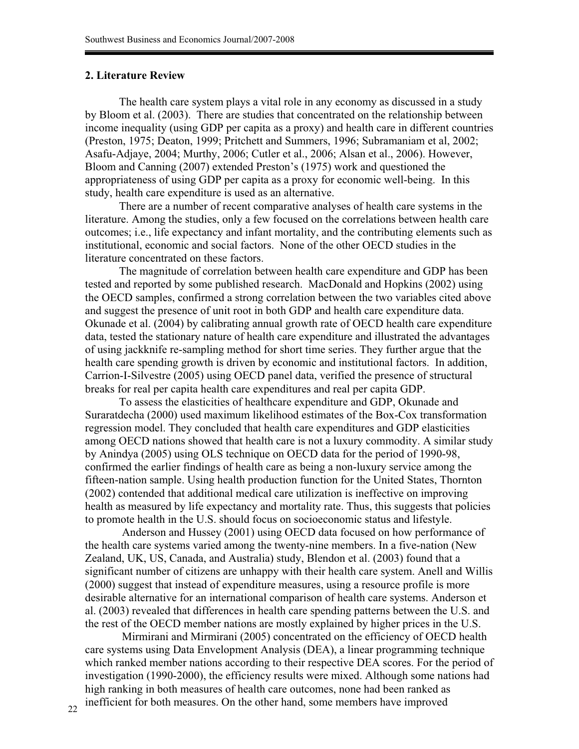## **2. Literature Review**

The health care system plays a vital role in any economy as discussed in a study by Bloom et al. (2003). There are studies that concentrated on the relationship between income inequality (using GDP per capita as a proxy) and health care in different countries (Preston, 1975; Deaton, 1999; Pritchett and Summers, 1996; Subramaniam et al, 2002; Asafu-Adjaye, 2004; Murthy, 2006; Cutler et al., 2006; Alsan et al., 2006). However, Bloom and Canning (2007) extended Preston's (1975) work and questioned the appropriateness of using GDP per capita as a proxy for economic well-being. In this study, health care expenditure is used as an alternative.

There are a number of recent comparative analyses of health care systems in the literature. Among the studies, only a few focused on the correlations between health care outcomes; i.e., life expectancy and infant mortality, and the contributing elements such as institutional, economic and social factors. None of the other OECD studies in the literature concentrated on these factors.

The magnitude of correlation between health care expenditure and GDP has been tested and reported by some published research. MacDonald and Hopkins (2002) using the OECD samples, confirmed a strong correlation between the two variables cited above and suggest the presence of unit root in both GDP and health care expenditure data. Okunade et al. (2004) by calibrating annual growth rate of OECD health care expenditure data, tested the stationary nature of health care expenditure and illustrated the advantages of using jackknife re-sampling method for short time series. They further argue that the health care spending growth is driven by economic and institutional factors. In addition, Carrion-I-Silvestre (2005) using OECD panel data, verified the presence of structural breaks for real per capita health care expenditures and real per capita GDP.

To assess the elasticities of healthcare expenditure and GDP, Okunade and Suraratdecha (2000) used maximum likelihood estimates of the Box-Cox transformation regression model. They concluded that health care expenditures and GDP elasticities among OECD nations showed that health care is not a luxury commodity. A similar study by Anindya (2005) using OLS technique on OECD data for the period of 1990-98, confirmed the earlier findings of health care as being a non-luxury service among the fifteen-nation sample. Using health production function for the United States, Thornton (2002) contended that additional medical care utilization is ineffective on improving health as measured by life expectancy and mortality rate. Thus, this suggests that policies to promote health in the U.S. should focus on socioeconomic status and lifestyle.

 Anderson and Hussey (2001) using OECD data focused on how performance of the health care systems varied among the twenty-nine members. In a five-nation (New Zealand, UK, US, Canada, and Australia) study, Blendon et al. (2003) found that a significant number of citizens are unhappy with their health care system. Anell and Willis (2000) suggest that instead of expenditure measures, using a resource profile is more desirable alternative for an international comparison of health care systems. Anderson et al. (2003) revealed that differences in health care spending patterns between the U.S. and the rest of the OECD member nations are mostly explained by higher prices in the U.S.

 Mirmirani and Mirmirani (2005) concentrated on the efficiency of OECD health care systems using Data Envelopment Analysis (DEA), a linear programming technique which ranked member nations according to their respective DEA scores. For the period of investigation (1990-2000), the efficiency results were mixed. Although some nations had high ranking in both measures of health care outcomes, none had been ranked as inefficient for both measures. On the other hand, some members have improved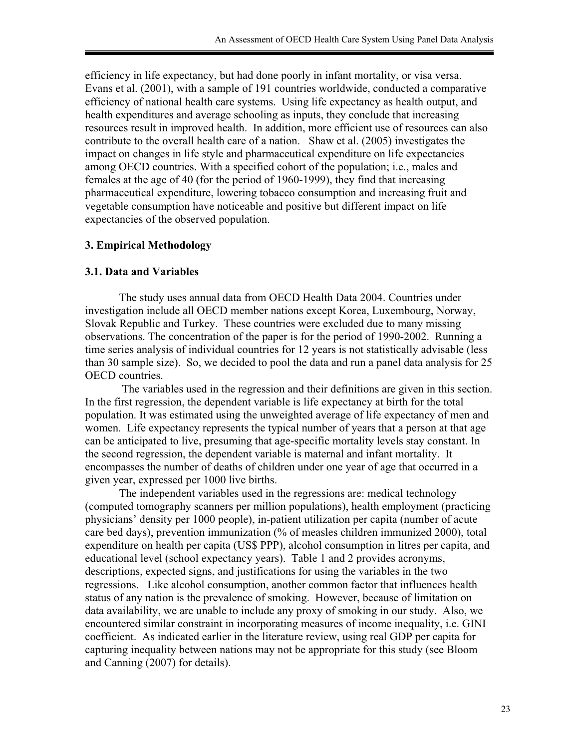efficiency in life expectancy, but had done poorly in infant mortality, or visa versa. Evans et al. (2001), with a sample of 191 countries worldwide, conducted a comparative efficiency of national health care systems. Using life expectancy as health output, and health expenditures and average schooling as inputs, they conclude that increasing resources result in improved health. In addition, more efficient use of resources can also contribute to the overall health care of a nation. Shaw et al. (2005) investigates the impact on changes in life style and pharmaceutical expenditure on life expectancies among OECD countries. With a specified cohort of the population; i.e., males and females at the age of 40 (for the period of 1960-1999), they find that increasing pharmaceutical expenditure, lowering tobacco consumption and increasing fruit and vegetable consumption have noticeable and positive but different impact on life expectancies of the observed population.

# **3. Empirical Methodology**

# **3.1. Data and Variables**

The study uses annual data from OECD Health Data 2004. Countries under investigation include all OECD member nations except Korea, Luxembourg, Norway, Slovak Republic and Turkey. These countries were excluded due to many missing observations. The concentration of the paper is for the period of 1990-2002. Running a time series analysis of individual countries for 12 years is not statistically advisable (less than 30 sample size). So, we decided to pool the data and run a panel data analysis for 25 OECD countries.

 The variables used in the regression and their definitions are given in this section. In the first regression, the dependent variable is life expectancy at birth for the total population. It was estimated using the unweighted average of life expectancy of men and women. Life expectancy represents the typical number of years that a person at that age can be anticipated to live, presuming that age-specific mortality levels stay constant. In the second regression, the dependent variable is maternal and infant mortality. It encompasses the number of deaths of children under one year of age that occurred in a given year, expressed per 1000 live births.

The independent variables used in the regressions are: medical technology (computed tomography scanners per million populations), health employment (practicing physicians' density per 1000 people), in-patient utilization per capita (number of acute care bed days), prevention immunization (% of measles children immunized 2000), total expenditure on health per capita (US\$ PPP), alcohol consumption in litres per capita, and educational level (school expectancy years). Table 1 and 2 provides acronyms, descriptions, expected signs, and justifications for using the variables in the two regressions. Like alcohol consumption, another common factor that influences health status of any nation is the prevalence of smoking. However, because of limitation on data availability, we are unable to include any proxy of smoking in our study. Also, we encountered similar constraint in incorporating measures of income inequality, i.e. GINI coefficient. As indicated earlier in the literature review, using real GDP per capita for capturing inequality between nations may not be appropriate for this study (see Bloom and Canning (2007) for details).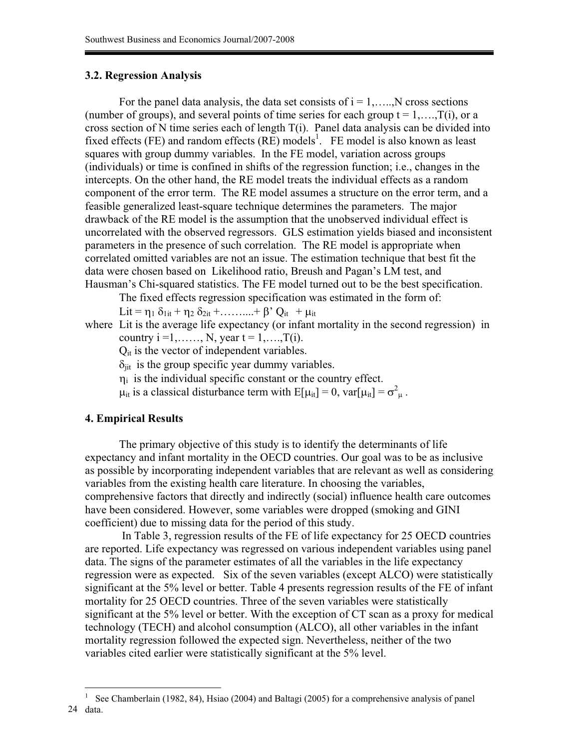# **3.2. Regression Analysis**

For the panel data analysis, the data set consists of  $i = 1, \ldots, N$  cross sections (number of groups), and several points of time series for each group  $t = 1, \ldots, T(i)$ , or a cross section of N time series each of length T(i). Panel data analysis can be divided into fixed effects (FE) and random effects  $(RE)$  models<sup>1</sup>. FE model is also known as least squares with group dummy variables. In the FE model, variation across groups (individuals) or time is confined in shifts of the regression function; i.e., changes in the intercepts. On the other hand, the RE model treats the individual effects as a random component of the error term. The RE model assumes a structure on the error term, and a feasible generalized least-square technique determines the parameters. The major drawback of the RE model is the assumption that the unobserved individual effect is uncorrelated with the observed regressors. GLS estimation yields biased and inconsistent parameters in the presence of such correlation. The RE model is appropriate when correlated omitted variables are not an issue. The estimation technique that best fit the data were chosen based on Likelihood ratio, Breush and Pagan's LM test, and Hausman's Chi-squared statistics. The FE model turned out to be the best specification.

The fixed effects regression specification was estimated in the form of:

Lit =  $\eta_1 \delta_{1it} + \eta_2 \delta_{2it} + \dots + \beta' Q_{it} + \mu_{it}$ 

where Lit is the average life expectancy (or infant mortality in the second regression) in country  $i = 1, \ldots, N$ , year  $t = 1, \ldots, T(i)$ .

 $Q_{it}$  is the vector of independent variables.

 $\delta_{\text{ii}t}$  is the group specific year dummy variables.

 $\eta_i$  is the individual specific constant or the country effect.

 $\mu_{it}$  is a classical disturbance term with  $E[\mu_{it}] = 0$ ,  $var[\mu_{it}] = \sigma^2_{\mu}$ .

### **4. Empirical Results**

The primary objective of this study is to identify the determinants of life expectancy and infant mortality in the OECD countries. Our goal was to be as inclusive as possible by incorporating independent variables that are relevant as well as considering variables from the existing health care literature. In choosing the variables, comprehensive factors that directly and indirectly (social) influence health care outcomes have been considered. However, some variables were dropped (smoking and GINI coefficient) due to missing data for the period of this study.

 In Table 3, regression results of the FE of life expectancy for 25 OECD countries are reported. Life expectancy was regressed on various independent variables using panel data. The signs of the parameter estimates of all the variables in the life expectancy regression were as expected. Six of the seven variables (except ALCO) were statistically significant at the 5% level or better. Table 4 presents regression results of the FE of infant mortality for 25 OECD countries. Three of the seven variables were statistically significant at the 5% level or better. With the exception of CT scan as a proxy for medical technology (TECH) and alcohol consumption (ALCO), all other variables in the infant mortality regression followed the expected sign. Nevertheless, neither of the two variables cited earlier were statistically significant at the 5% level.

<sup>1</sup> See Chamberlain (1982, 84), Hsiao (2004) and Baltagi (2005) for a comprehensive analysis of panel 24 data.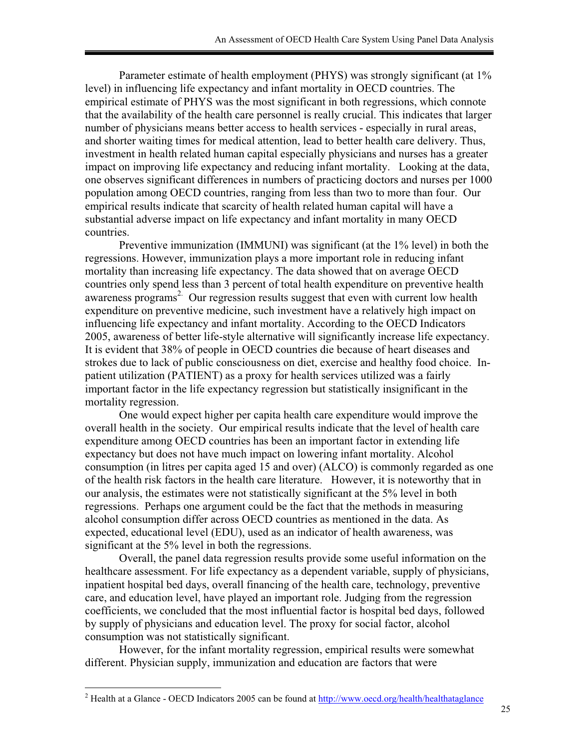Parameter estimate of health employment (PHYS) was strongly significant (at  $1\%$ ) level) in influencing life expectancy and infant mortality in OECD countries. The empirical estimate of PHYS was the most significant in both regressions, which connote that the availability of the health care personnel is really crucial. This indicates that larger number of physicians means better access to health services - especially in rural areas, and shorter waiting times for medical attention, lead to better health care delivery. Thus, investment in health related human capital especially physicians and nurses has a greater impact on improving life expectancy and reducing infant mortality. Looking at the data, one observes significant differences in numbers of practicing doctors and nurses per 1000 population among OECD countries, ranging from less than two to more than four. Our empirical results indicate that scarcity of health related human capital will have a substantial adverse impact on life expectancy and infant mortality in many OECD countries.

Preventive immunization (IMMUNI) was significant (at the 1% level) in both the regressions. However, immunization plays a more important role in reducing infant mortality than increasing life expectancy. The data showed that on average OECD countries only spend less than 3 percent of total health expenditure on preventive health awareness programs<sup>2.</sup> Our regression results suggest that even with current low health expenditure on preventive medicine, such investment have a relatively high impact on influencing life expectancy and infant mortality. According to the OECD Indicators 2005, awareness of better life-style alternative will significantly increase life expectancy. It is evident that 38% of people in OECD countries die because of heart diseases and strokes due to lack of public consciousness on diet, exercise and healthy food choice. Inpatient utilization (PATIENT) as a proxy for health services utilized was a fairly important factor in the life expectancy regression but statistically insignificant in the mortality regression.

One would expect higher per capita health care expenditure would improve the overall health in the society. Our empirical results indicate that the level of health care expenditure among OECD countries has been an important factor in extending life expectancy but does not have much impact on lowering infant mortality. Alcohol consumption (in litres per capita aged 15 and over) (ALCO) is commonly regarded as one of the health risk factors in the health care literature. However, it is noteworthy that in our analysis, the estimates were not statistically significant at the 5% level in both regressions. Perhaps one argument could be the fact that the methods in measuring alcohol consumption differ across OECD countries as mentioned in the data. As expected, educational level (EDU), used as an indicator of health awareness, was significant at the 5% level in both the regressions.

Overall, the panel data regression results provide some useful information on the healthcare assessment. For life expectancy as a dependent variable, supply of physicians, inpatient hospital bed days, overall financing of the health care, technology, preventive care, and education level, have played an important role. Judging from the regression coefficients, we concluded that the most influential factor is hospital bed days, followed by supply of physicians and education level. The proxy for social factor, alcohol consumption was not statistically significant.

However, for the infant mortality regression, empirical results were somewhat different. Physician supply, immunization and education are factors that were

<sup>&</sup>lt;sup>2</sup> Health at a Glance - OECD Indicators 2005 can be found at http://www.oecd.org/health/healthataglance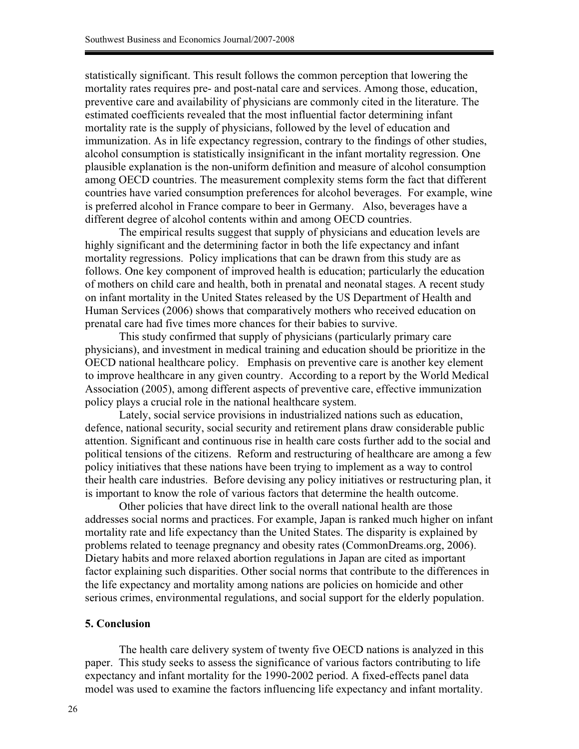statistically significant. This result follows the common perception that lowering the mortality rates requires pre- and post-natal care and services. Among those, education, preventive care and availability of physicians are commonly cited in the literature. The estimated coefficients revealed that the most influential factor determining infant mortality rate is the supply of physicians, followed by the level of education and immunization. As in life expectancy regression, contrary to the findings of other studies, alcohol consumption is statistically insignificant in the infant mortality regression. One plausible explanation is the non-uniform definition and measure of alcohol consumption among OECD countries. The measurement complexity stems form the fact that different countries have varied consumption preferences for alcohol beverages. For example, wine is preferred alcohol in France compare to beer in Germany. Also, beverages have a different degree of alcohol contents within and among OECD countries.

The empirical results suggest that supply of physicians and education levels are highly significant and the determining factor in both the life expectancy and infant mortality regressions. Policy implications that can be drawn from this study are as follows. One key component of improved health is education; particularly the education of mothers on child care and health, both in prenatal and neonatal stages. A recent study on infant mortality in the United States released by the US Department of Health and Human Services (2006) shows that comparatively mothers who received education on prenatal care had five times more chances for their babies to survive.

This study confirmed that supply of physicians (particularly primary care physicians), and investment in medical training and education should be prioritize in the OECD national healthcare policy. Emphasis on preventive care is another key element to improve healthcare in any given country. According to a report by the World Medical Association (2005), among different aspects of preventive care, effective immunization policy plays a crucial role in the national healthcare system.

Lately, social service provisions in industrialized nations such as education, defence, national security, social security and retirement plans draw considerable public attention. Significant and continuous rise in health care costs further add to the social and political tensions of the citizens. Reform and restructuring of healthcare are among a few policy initiatives that these nations have been trying to implement as a way to control their health care industries. Before devising any policy initiatives or restructuring plan, it is important to know the role of various factors that determine the health outcome.

Other policies that have direct link to the overall national health are those addresses social norms and practices. For example, Japan is ranked much higher on infant mortality rate and life expectancy than the United States. The disparity is explained by problems related to teenage pregnancy and obesity rates (CommonDreams.org, 2006). Dietary habits and more relaxed abortion regulations in Japan are cited as important factor explaining such disparities. Other social norms that contribute to the differences in the life expectancy and mortality among nations are policies on homicide and other serious crimes, environmental regulations, and social support for the elderly population.

#### **5. Conclusion**

The health care delivery system of twenty five OECD nations is analyzed in this paper. This study seeks to assess the significance of various factors contributing to life expectancy and infant mortality for the 1990-2002 period. A fixed-effects panel data model was used to examine the factors influencing life expectancy and infant mortality.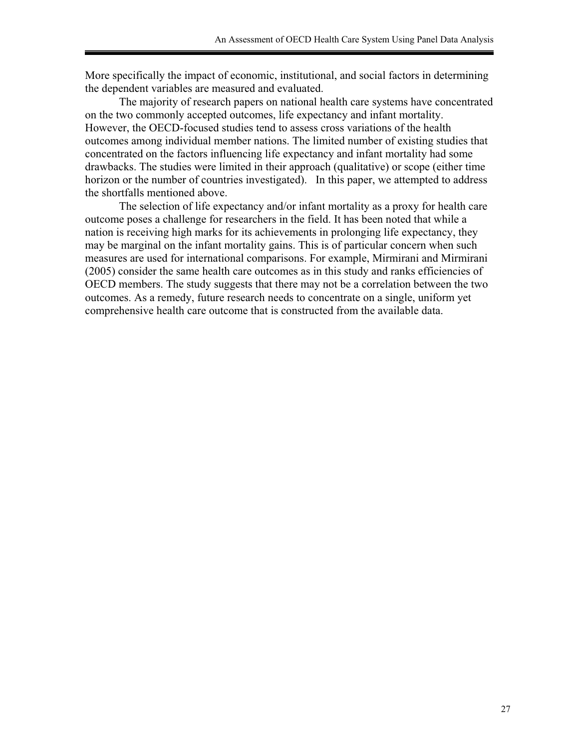More specifically the impact of economic, institutional, and social factors in determining the dependent variables are measured and evaluated.

The majority of research papers on national health care systems have concentrated on the two commonly accepted outcomes, life expectancy and infant mortality. However, the OECD-focused studies tend to assess cross variations of the health outcomes among individual member nations. The limited number of existing studies that concentrated on the factors influencing life expectancy and infant mortality had some drawbacks. The studies were limited in their approach (qualitative) or scope (either time horizon or the number of countries investigated). In this paper, we attempted to address the shortfalls mentioned above.

The selection of life expectancy and/or infant mortality as a proxy for health care outcome poses a challenge for researchers in the field. It has been noted that while a nation is receiving high marks for its achievements in prolonging life expectancy, they may be marginal on the infant mortality gains. This is of particular concern when such measures are used for international comparisons. For example, Mirmirani and Mirmirani (2005) consider the same health care outcomes as in this study and ranks efficiencies of OECD members. The study suggests that there may not be a correlation between the two outcomes. As a remedy, future research needs to concentrate on a single, uniform yet comprehensive health care outcome that is constructed from the available data.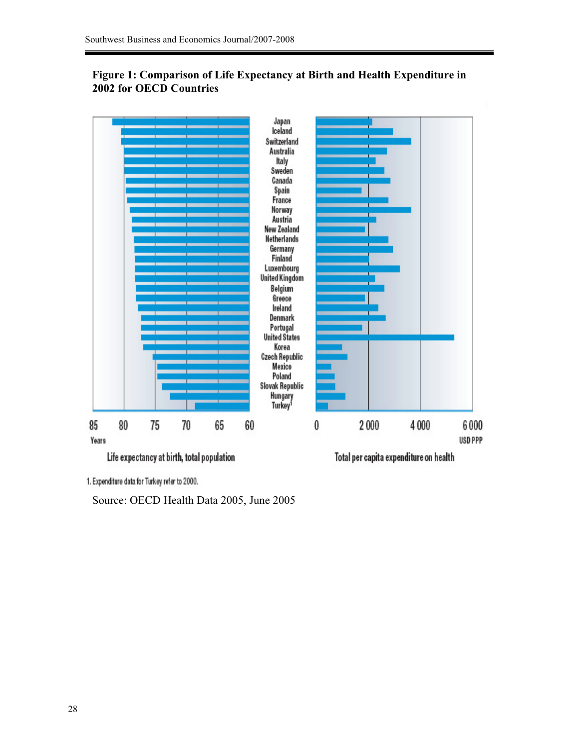# **Figure 1: Comparison of Life Expectancy at Birth and Health Expenditure in 2002 for OECD Countries**



1. Expenditure data for Turkey refer to 2000.

Source: OECD Health Data 2005, June 2005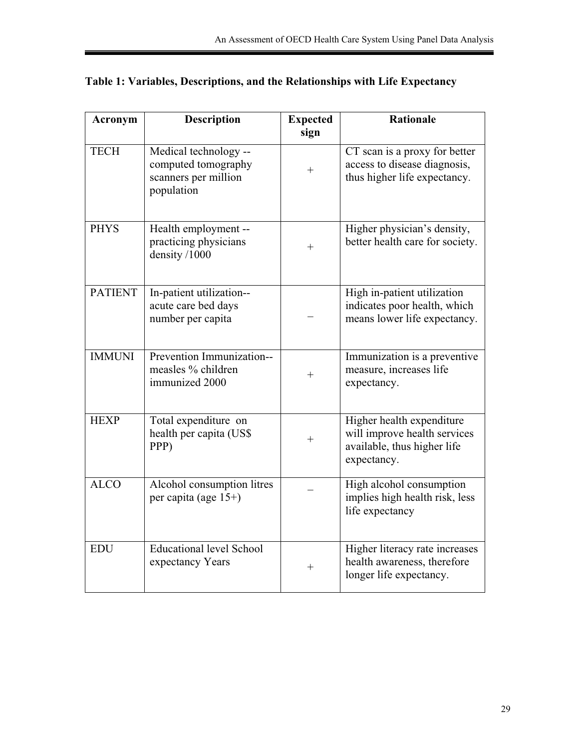| Acronym        | <b>Description</b>                                                                 | <b>Expected</b><br>sign | <b>Rationale</b>                                                                                        |
|----------------|------------------------------------------------------------------------------------|-------------------------|---------------------------------------------------------------------------------------------------------|
| <b>TECH</b>    | Medical technology --<br>computed tomography<br>scanners per million<br>population | $^{+}$                  | CT scan is a proxy for better<br>access to disease diagnosis,<br>thus higher life expectancy.           |
| <b>PHYS</b>    | Health employment --<br>practicing physicians<br>density /1000                     | $^{+}$                  | Higher physician's density,<br>better health care for society.                                          |
| <b>PATIENT</b> | In-patient utilization--<br>acute care bed days<br>number per capita               |                         | High in-patient utilization<br>indicates poor health, which<br>means lower life expectancy.             |
| <b>IMMUNI</b>  | Prevention Immunization--<br>measles % children<br>immunized 2000                  | $^{+}$                  | Immunization is a preventive<br>measure, increases life<br>expectancy.                                  |
| <b>HEXP</b>    | Total expenditure on<br>health per capita (US\$<br>PPP)                            | $\hspace{0.1mm} +$      | Higher health expenditure<br>will improve health services<br>available, thus higher life<br>expectancy. |
| <b>ALCO</b>    | Alcohol consumption litres<br>per capita (age 15+)                                 |                         | High alcohol consumption<br>implies high health risk, less<br>life expectancy                           |
| <b>EDU</b>     | Educational level School<br>expectancy Years                                       | $^{+}$                  | Higher literacy rate increases<br>health awareness, therefore<br>longer life expectancy.                |

|  |  |  | Table 1: Variables, Descriptions, and the Relationships with Life Expectancy |
|--|--|--|------------------------------------------------------------------------------|
|--|--|--|------------------------------------------------------------------------------|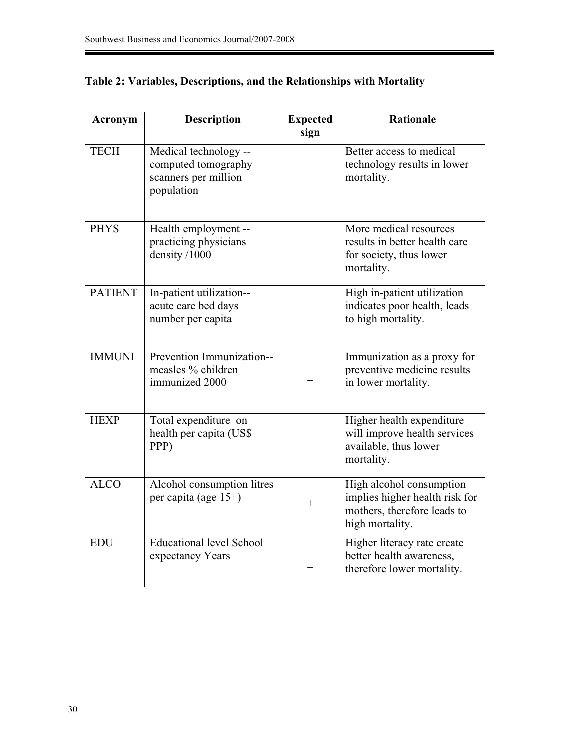| Acronym        | <b>Description</b>                                                                 | <b>Expected</b><br>sign | <b>Rationale</b>                                                                                             |
|----------------|------------------------------------------------------------------------------------|-------------------------|--------------------------------------------------------------------------------------------------------------|
| <b>TECH</b>    | Medical technology --<br>computed tomography<br>scanners per million<br>population |                         | Better access to medical<br>technology results in lower<br>mortality.                                        |
| <b>PHYS</b>    | Health employment --<br>practicing physicians<br>density /1000                     |                         | More medical resources<br>results in better health care<br>for society, thus lower<br>mortality.             |
| <b>PATIENT</b> | In-patient utilization--<br>acute care bed days<br>number per capita               |                         | High in-patient utilization<br>indicates poor health, leads<br>to high mortality.                            |
| <b>IMMUNI</b>  | Prevention Immunization--<br>measles % children<br>immunized 2000                  |                         | Immunization as a proxy for<br>preventive medicine results<br>in lower mortality.                            |
| <b>HEXP</b>    | Total expenditure on<br>health per capita (US\$<br>PPP)                            |                         | Higher health expenditure<br>will improve health services<br>available, thus lower<br>mortality.             |
| <b>ALCO</b>    | Alcohol consumption litres<br>per capita (age 15+)                                 | $\hspace{0.1mm} +$      | High alcohol consumption<br>implies higher health risk for<br>mothers, therefore leads to<br>high mortality. |
| <b>EDU</b>     | <b>Educational level School</b><br>expectancy Years                                |                         | Higher literacy rate create<br>better health awareness,<br>therefore lower mortality.                        |

# **Table 2: Variables, Descriptions, and the Relationships with Mortality**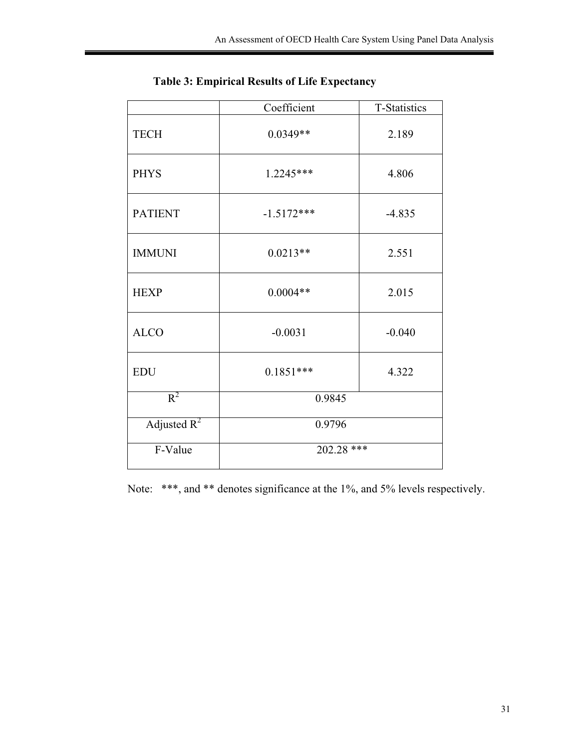|                | Coefficient  | T-Statistics |
|----------------|--------------|--------------|
| <b>TECH</b>    | $0.0349**$   | 2.189        |
| <b>PHYS</b>    | 1.2245***    | 4.806        |
| <b>PATIENT</b> | $-1.5172***$ | $-4.835$     |
| <b>IMMUNI</b>  | $0.0213**$   | 2.551        |
| <b>HEXP</b>    | $0.0004**$   | 2.015        |
| <b>ALCO</b>    | $-0.0031$    | $-0.040$     |
| <b>EDU</b>     | $0.1851***$  | 4.322        |
| $R^2$          | 0.9845       |              |
| Adjusted $R^2$ | 0.9796       |              |
| F-Value        | 202.28 ***   |              |

**Table 3: Empirical Results of Life Expectancy** 

Note: \*\*\*, and \*\* denotes significance at the 1%, and 5% levels respectively.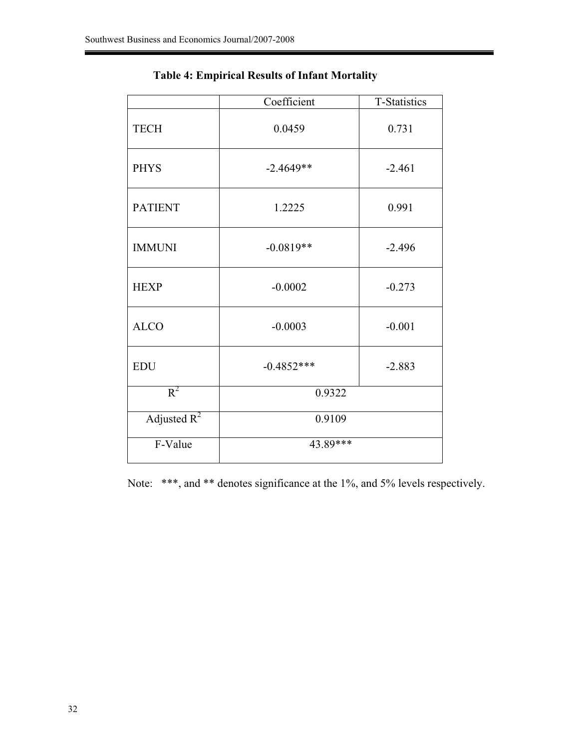|                | Coefficient  | T-Statistics |
|----------------|--------------|--------------|
| <b>TECH</b>    | 0.0459       | 0.731        |
| <b>PHYS</b>    | $-2.4649**$  | $-2.461$     |
| <b>PATIENT</b> | 1.2225       | 0.991        |
| <b>IMMUNI</b>  | $-0.0819**$  | $-2.496$     |
| <b>HEXP</b>    | $-0.0002$    | $-0.273$     |
| <b>ALCO</b>    | $-0.0003$    | $-0.001$     |
| <b>EDU</b>     | $-0.4852***$ | $-2.883$     |
| $R^2$          | 0.9322       |              |
| Adjusted $R^2$ | 0.9109       |              |
| F-Value        | 43.89***     |              |

**Table 4: Empirical Results of Infant Mortality** 

Note: \*\*\*, and \*\* denotes significance at the 1%, and 5% levels respectively.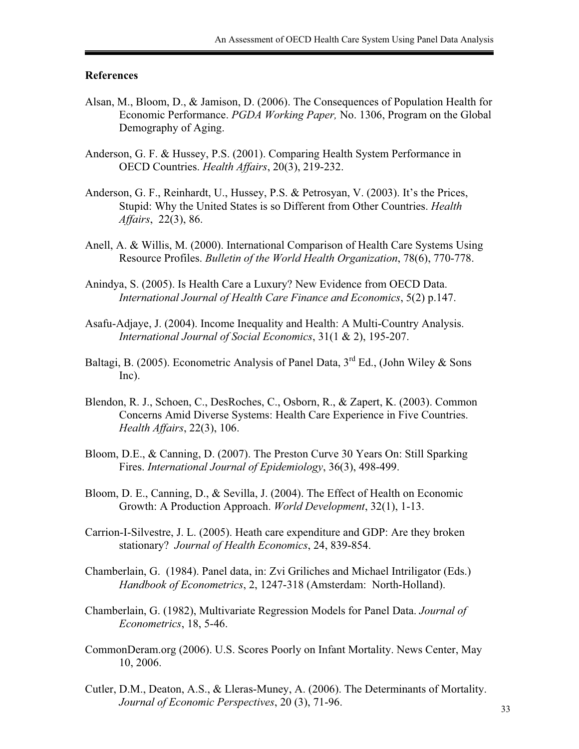### **References**

- Alsan, M., Bloom, D., & Jamison, D. (2006). The Consequences of Population Health for Economic Performance. *PGDA Working Paper,* No. 1306, Program on the Global Demography of Aging.
- Anderson, G. F. & Hussey, P.S. (2001). Comparing Health System Performance in OECD Countries. *Health Affairs*, 20(3), 219-232.
- Anderson, G. F., Reinhardt, U., Hussey, P.S. & Petrosyan, V. (2003). It's the Prices, Stupid: Why the United States is so Different from Other Countries. *Health Affairs*, 22(3), 86.
- Anell, A. & Willis, M. (2000). International Comparison of Health Care Systems Using Resource Profiles. *Bulletin of the World Health Organization*, 78(6), 770-778.
- Anindya, S. (2005). Is Health Care a Luxury? New Evidence from OECD Data. *International Journal of Health Care Finance and Economics*, 5(2) p.147.
- Asafu-Adjaye, J. (2004). Income Inequality and Health: A Multi-Country Analysis. *International Journal of Social Economics*, 31(1 & 2), 195-207.
- Baltagi, B. (2005). Econometric Analysis of Panel Data,  $3<sup>rd</sup>$  Ed., (John Wiley & Sons Inc).
- Blendon, R. J., Schoen, C., DesRoches, C., Osborn, R., & Zapert, K. (2003). Common Concerns Amid Diverse Systems: Health Care Experience in Five Countries. *Health Affairs*, 22(3), 106.
- Bloom, D.E., & Canning, D. (2007). The Preston Curve 30 Years On: Still Sparking Fires. *International Journal of Epidemiology*, 36(3), 498-499.
- Bloom, D. E., Canning, D., & Sevilla, J. (2004). The Effect of Health on Economic Growth: A Production Approach. *World Development*, 32(1), 1-13.
- Carrion-I-Silvestre, J. L. (2005). Heath care expenditure and GDP: Are they broken stationary? *Journal of Health Economics*, 24, 839-854.
- Chamberlain, G. (1984). Panel data, in: Zvi Griliches and Michael Intriligator (Eds.)  *Handbook of Econometrics*, 2, 1247-318 (Amsterdam: North-Holland).
- Chamberlain, G. (1982), Multivariate Regression Models for Panel Data. *Journal of Econometrics*, 18, 5-46.
- CommonDeram.org (2006). U.S. Scores Poorly on Infant Mortality. News Center, May 10, 2006.
- Cutler, D.M., Deaton, A.S., & Lleras-Muney, A. (2006). The Determinants of Mortality. *Journal of Economic Perspectives*, 20 (3), 71-96.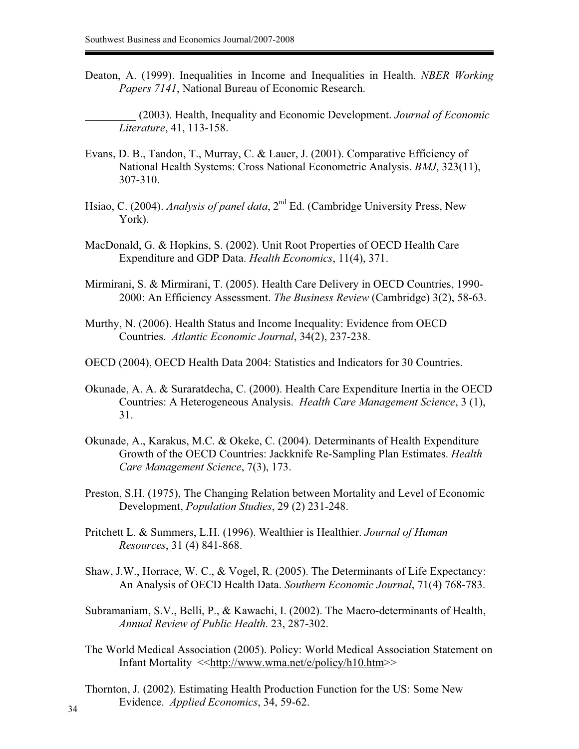Deaton, A. (1999). Inequalities in Income and Inequalities in Health. *NBER Working Papers 7141*, National Bureau of Economic Research.

\_\_\_\_\_\_\_\_\_ (2003). Health, Inequality and Economic Development. *Journal of Economic Literature*, 41, 113-158.

- Evans, D. B., Tandon, T., Murray, C. & Lauer, J. (2001). Comparative Efficiency of National Health Systems: Cross National Econometric Analysis. *BMJ*, 323(11), 307-310.
- Hsiao, C. (2004). *Analysis of panel data*, 2<sup>nd</sup> Ed. (Cambridge University Press, New York).
- MacDonald, G. & Hopkins, S. (2002). Unit Root Properties of OECD Health Care Expenditure and GDP Data. *Health Economics*, 11(4), 371.
- Mirmirani, S. & Mirmirani, T. (2005). Health Care Delivery in OECD Countries, 1990- 2000: An Efficiency Assessment. *The Business Review* (Cambridge) 3(2), 58-63.
- Murthy, N. (2006). Health Status and Income Inequality: Evidence from OECD Countries. *Atlantic Economic Journal*, 34(2), 237-238.
- OECD (2004), OECD Health Data 2004: Statistics and Indicators for 30 Countries.
- Okunade, A. A. & Suraratdecha, C. (2000). Health Care Expenditure Inertia in the OECD Countries: A Heterogeneous Analysis. *Health Care Management Science*, 3 (1), 31.
- Okunade, A., Karakus, M.C. & Okeke, C. (2004). Determinants of Health Expenditure Growth of the OECD Countries: Jackknife Re-Sampling Plan Estimates. *Health Care Management Science*, 7(3), 173.
- Preston, S.H. (1975), The Changing Relation between Mortality and Level of Economic Development, *Population Studies*, 29 (2) 231-248.
- Pritchett L. & Summers, L.H. (1996). Wealthier is Healthier. *Journal of Human Resources*, 31 (4) 841-868.
- Shaw, J.W., Horrace, W. C., & Vogel, R. (2005). The Determinants of Life Expectancy: An Analysis of OECD Health Data. *Southern Economic Journal*, 71(4) 768-783.
- Subramaniam, S.V., Belli, P., & Kawachi, I. (2002). The Macro-determinants of Health, *Annual Review of Public Health*. 23, 287-302.
- The World Medical Association (2005). Policy: World Medical Association Statement on Infant Mortality <<http://www.wma.net/e/policy/h10.htm>>
- Thornton, J. (2002). Estimating Health Production Function for the US: Some New Evidence. *Applied Economics*, 34, 59-62.